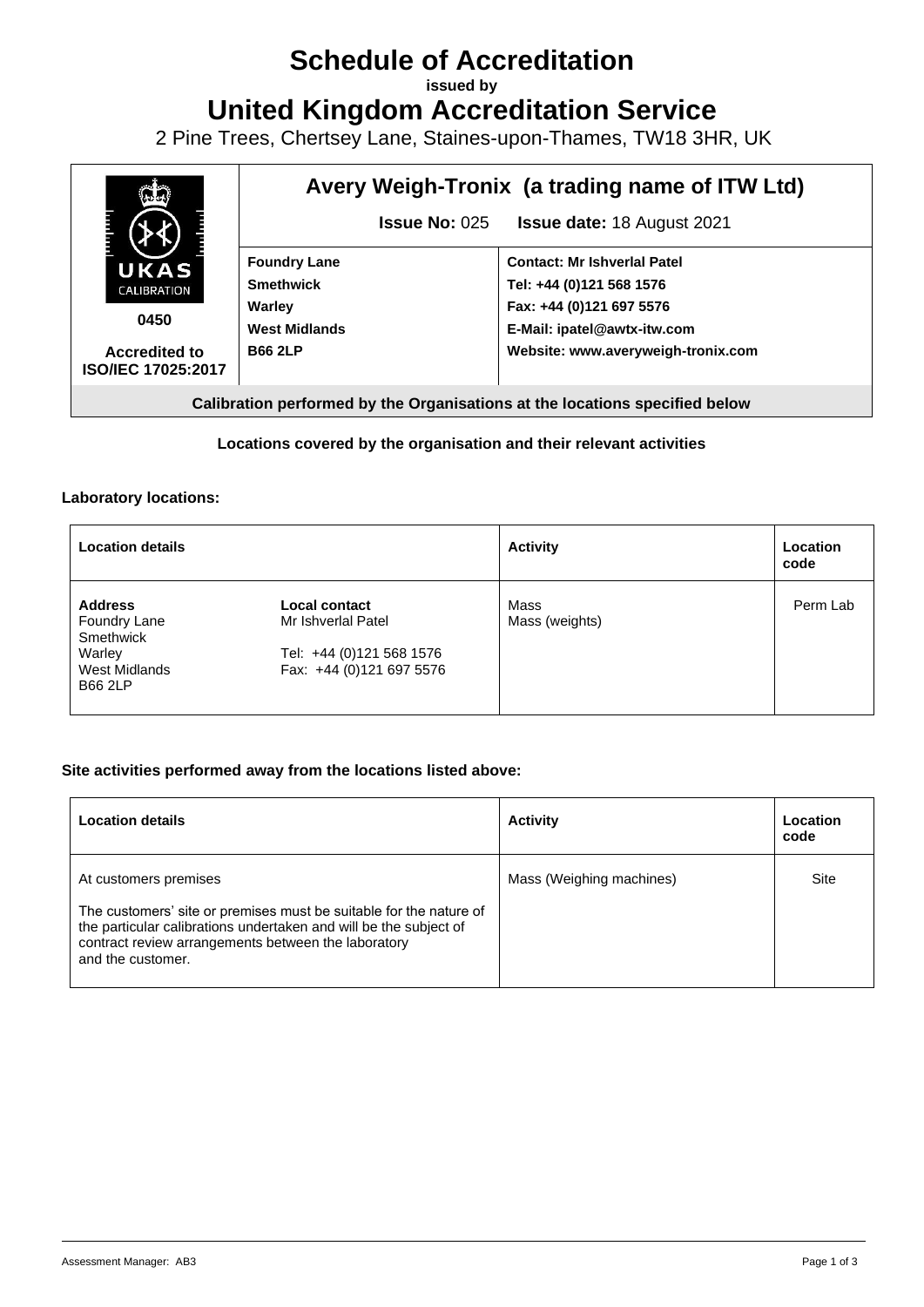# **Schedule of Accreditation**

**issued by**

**United Kingdom Accreditation Service**

2 Pine Trees, Chertsey Lane, Staines-upon-Thames, TW18 3HR, UK



## **Locations covered by the organisation and their relevant activities**

#### **Laboratory locations:**

| <b>Location details</b>                                                                  |                                                                                                    | <b>Activity</b>        | Location<br>code |
|------------------------------------------------------------------------------------------|----------------------------------------------------------------------------------------------------|------------------------|------------------|
| <b>Address</b><br>Foundry Lane<br>Smethwick<br>Warley<br>West Midlands<br><b>B66 2LP</b> | <b>Local contact</b><br>Mr Ishverlal Patel<br>Tel: +44 (0)121 568 1576<br>Fax: +44 (0)121 697 5576 | Mass<br>Mass (weights) | Perm Lab         |

## **Site activities performed away from the locations listed above:**

| <b>Location details</b>                                                                                                                                                                                                                      | <b>Activity</b>          | Location<br>code |
|----------------------------------------------------------------------------------------------------------------------------------------------------------------------------------------------------------------------------------------------|--------------------------|------------------|
| At customers premises<br>The customers' site or premises must be suitable for the nature of<br>the particular calibrations undertaken and will be the subject of<br>contract review arrangements between the laboratory<br>and the customer. | Mass (Weighing machines) | Site             |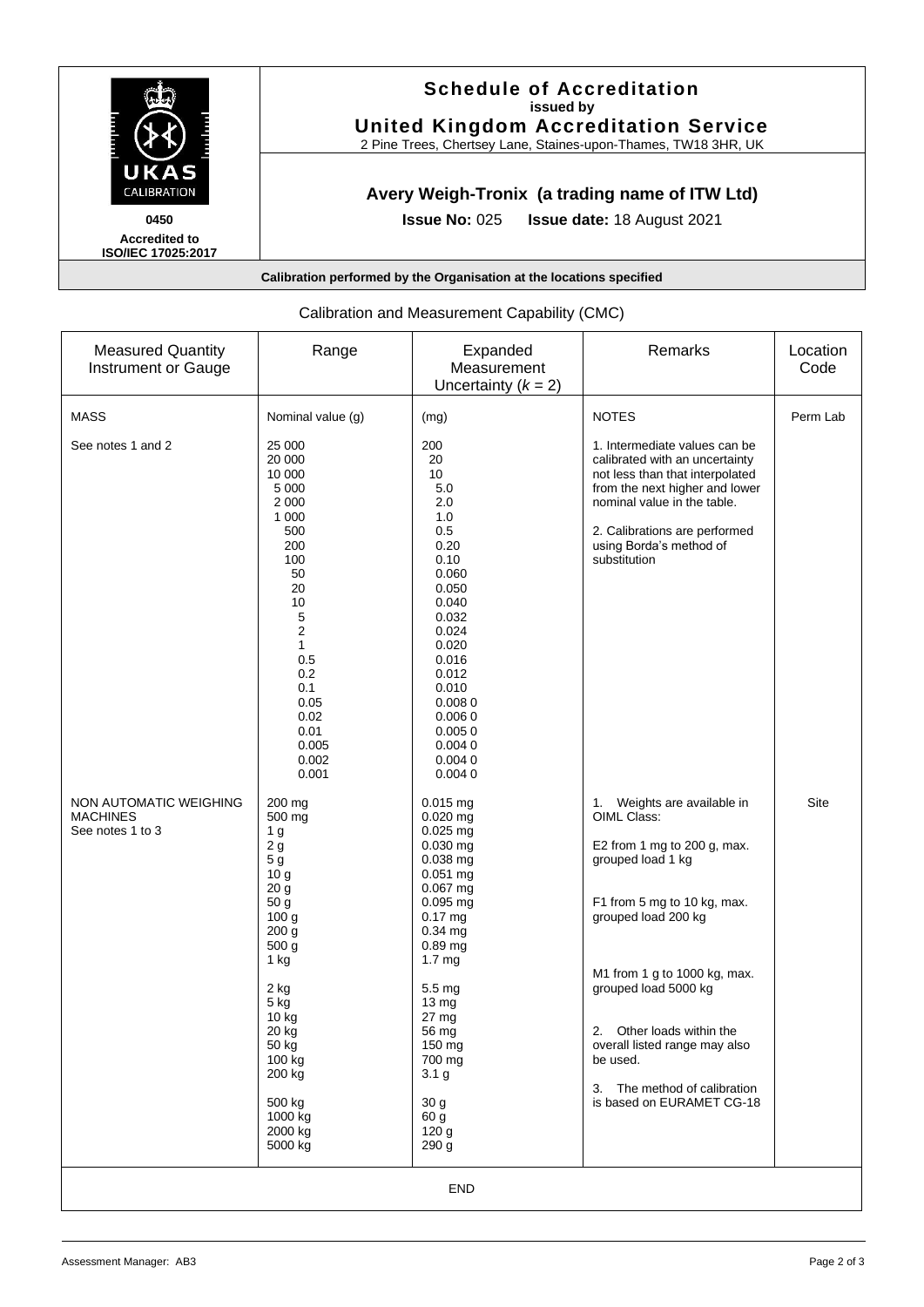

## **Schedule of Accreditation issued by United Kingdom Accreditation Service**

2 Pine Trees, Chertsey Lane, Staines-upon-Thames, TW18 3HR, UK

# **Avery Weigh-Tronix (a trading name of ITW Ltd)**

**Issue No:** 025 **Issue date:** 18 August 2021

**Accredited to ISO/IEC 17025:2017**

**Calibration performed by the Organisation at the locations specified**

| <b>Measured Quantity</b><br>Instrument or Gauge               | Range                                                                                                                                                                                                                                                                        | Expanded<br>Measurement<br>Uncertainty $(k = 2)$                                                                                                                                                                                                                                                         | Remarks                                                                                                                                                                                                                                                                                                                                             | Location<br>Code |  |  |
|---------------------------------------------------------------|------------------------------------------------------------------------------------------------------------------------------------------------------------------------------------------------------------------------------------------------------------------------------|----------------------------------------------------------------------------------------------------------------------------------------------------------------------------------------------------------------------------------------------------------------------------------------------------------|-----------------------------------------------------------------------------------------------------------------------------------------------------------------------------------------------------------------------------------------------------------------------------------------------------------------------------------------------------|------------------|--|--|
| <b>MASS</b>                                                   | Nominal value (g)                                                                                                                                                                                                                                                            | (mg)                                                                                                                                                                                                                                                                                                     | <b>NOTES</b>                                                                                                                                                                                                                                                                                                                                        | Perm Lab         |  |  |
| See notes 1 and 2                                             | 25 000<br>20 000<br>10 000<br>5 0 0 0<br>2 0 0 0<br>1 0 0 0<br>500<br>200<br>100<br>50<br>20<br>10<br>5<br>2<br>1<br>0.5<br>0.2<br>0.1<br>0.05<br>0.02<br>0.01<br>0.005<br>0.002<br>0.001                                                                                    | 200<br>20<br>10<br>5.0<br>2.0<br>1.0<br>0.5<br>0.20<br>0.10<br>0.060<br>0.050<br>0.040<br>0.032<br>0.024<br>0.020<br>0.016<br>0.012<br>0.010<br>0.0080<br>0.0060<br>0.0050<br>0.0040<br>0.0040<br>0.0040                                                                                                 | 1. Intermediate values can be<br>calibrated with an uncertainty<br>not less than that interpolated<br>from the next higher and lower<br>nominal value in the table.<br>2. Calibrations are performed<br>using Borda's method of<br>substitution                                                                                                     |                  |  |  |
| NON AUTOMATIC WEIGHING<br><b>MACHINES</b><br>See notes 1 to 3 | 200 mg<br>500 mg<br>1 <sub>g</sub><br>2g<br>$5\,\mathrm{g}$<br>10 <sub>g</sub><br>20 <sub>g</sub><br>50 <sub>g</sub><br>100 <sub>g</sub><br>200 g<br>500 g<br>1 kg<br>2 kg<br>5 kg<br>10 kg<br>20 kg<br>50 kg<br>100 kg<br>200 kg<br>500 kg<br>1000 kg<br>2000 kg<br>5000 kg | $0.015$ mg<br>$0.020$ mg<br>$0.025$ mg<br>0.030 mg<br>$0.038$ mg<br>$0.051$ mg<br>$0.067$ mg<br>$0.095$ mg<br>$0.17$ mg<br>$0.34$ mg<br>0.89 mg<br>1.7 <sub>mg</sub><br>5.5 mg<br>13 mg<br>$27 \text{ mg}$<br>56 mg<br>150 mg<br>700 mg<br>3.1 <sub>g</sub><br>30 g<br>60 g<br>120 <sub>g</sub><br>290 g | 1. Weights are available in<br>OIML Class:<br>E2 from 1 mg to 200 g, max.<br>grouped load 1 kg<br>F1 from 5 mg to 10 kg, max.<br>grouped load 200 kg<br>M1 from 1 g to 1000 kg, max.<br>grouped load 5000 kg<br>2. Other loads within the<br>overall listed range may also<br>be used.<br>3. The method of calibration<br>is based on EURAMET CG-18 | Site             |  |  |
| <b>END</b>                                                    |                                                                                                                                                                                                                                                                              |                                                                                                                                                                                                                                                                                                          |                                                                                                                                                                                                                                                                                                                                                     |                  |  |  |

## Calibration and Measurement Capability (CMC)